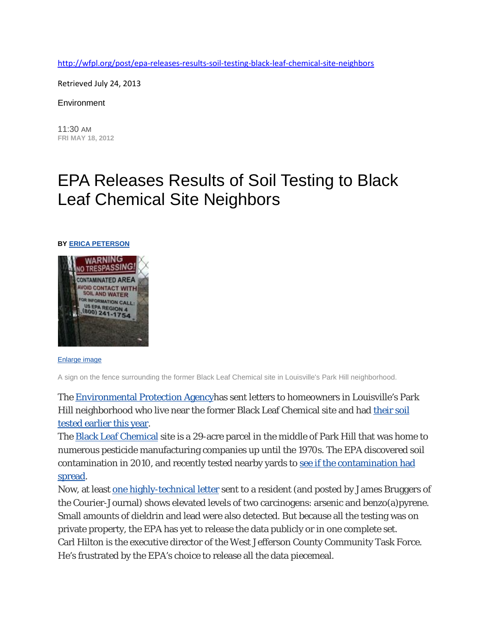<http://wfpl.org/post/epa-releases-results-soil-testing-black-leaf-chemical-site-neighbors>

Retrieved July 24, 2013

**Environment** 

11:30 AM **FRI MAY 18, 2012**

## EPA Releases Results of Soil Testing to Black Leaf Chemical Site Neighbors

## **BY ERICA [PETERSON](http://wfpl.org/people/erica-peterson)**



[Enlarge](http://mediad.publicbroadcasting.net/p/wfpl/files/black-leaf-150x150.jpg) image

A sign on the fence surrounding the former Black Leaf Chemical site in Louisville's Park Hill neighborhood.

The [Environmental](http://www.epa.gov/) Protection Agencyhas sent letters to homeowners in Louisville's Park Hill neighborhood who live near the former Black Leaf Chemical site and had [their](http://www.wfpl.org/2012/02/15/epa-begins-soil-sampling-of-black-leaf-chemical-neighbors/) soil tested [earlier](http://www.wfpl.org/2012/02/15/epa-begins-soil-sampling-of-black-leaf-chemical-neighbors/) this year.

The Black Leaf [Chemical](http://www.epaosc.org/site/site_profile.aspx?site_id=7247) site is a 29-acre parcel in the middle of Park Hill that was home to numerous pesticide manufacturing companies up until the 1970s. The EPA discovered soil contamination in 2010, and recently tested nearby yards to see if the [contamination](http://www.wfpl.org/2011/11/10/epa-briefs-park-hill-residents-on-black-leaf-chemical-contamination/) had [spread.](http://www.wfpl.org/2011/11/10/epa-briefs-park-hill-residents-on-black-leaf-chemical-contamination/)

Now, at least one [highly-technical](http://blogs.courier-journal.com/watchdogearth/files/2012/05/LouisAveDoc-1-1.pdf) letter sent to a resident (and posted by James Bruggers of the Courier-Journal) shows elevated levels of two carcinogens: arsenic and benzo(a)pyrene. Small amounts of dieldrin and lead were also detected. But because all the testing was on private property, the EPA has yet to release the data publicly or in one complete set. Carl Hilton is the executive director of the West Jefferson County Community Task Force. He's frustrated by the EPA's choice to release all the data piecemeal.